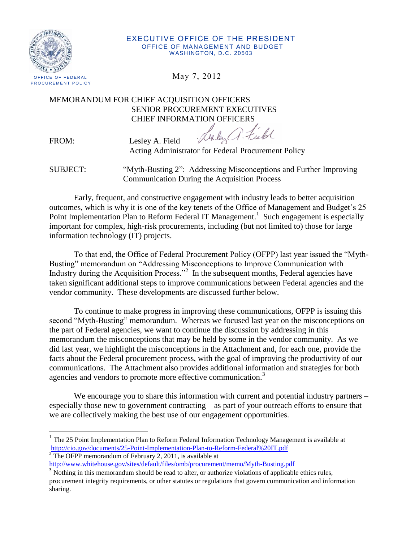

#### EXECUTIVE OFFICE OF THE PRESIDENT OFFICE OF MANAGEMENT AND BUDGET WASHINGTON, D.C. 20503

## MEMORANDUM FOR CHIEF ACQUISITION OFFICERS SENIOR PROCUREMENT EXECUTIVES CHIEF INFORMATION OFFICERS

FROM: Lesley A. Field

Sixty a. Field

Acting Administrator for Federal Procurement Policy

SUBJECT: "Myth-Busting 2": Addressing Misconceptions and Further Improving Communication During the Acquisition Process

Early, frequent, and constructive engagement with industry leads to better acquisition outcomes, which is why it is one of the key tenets of the Office of Management and Budget's 25 Point Implementation Plan to Reform Federal IT Management.<sup>1</sup> Such engagement is especially important for complex, high-risk procurements, including (but not limited to) those for large information technology (IT) projects.

To that end, the Office of Federal Procurement Policy (OFPP) last year issued the "Myth-Busting" memorandum on "Addressing Misconceptions to Improve Communication with Industry during the Acquisition Process."<sup>2</sup> In the subsequent months, Federal agencies have taken significant additional steps to improve communications between Federal agencies and the vendor community. These developments are discussed further below.

To continue to make progress in improving these communications, OFPP is issuing this second "Myth-Busting" memorandum. Whereas we focused last year on the misconceptions on the part of Federal agencies, we want to continue the discussion by addressing in this memorandum the misconceptions that may be held by some in the vendor community. As we did last year, we highlight the misconceptions in the Attachment and, for each one, provide the facts about the Federal procurement process, with the goal of improving the productivity of our communications. The Attachment also provides additional information and strategies for both agencies and vendors to promote more effective communication.<sup>3</sup>

We encourage you to share this information with current and potential industry partners – especially those new to government contracting – as part of your outreach efforts to ensure that we are collectively making the best use of our engagement opportunities.

<sup>&</sup>lt;sup>1</sup> The 25 Point Implementation Plan to Reform Federal Information Technology Management is available at <http://cio.gov/documents/25-Point-Implementation-Plan-to-Reform-Federal%20IT.pdf>

 $2$ <sup>The OFPP</sup> memorandum of February 2, 2011, is available at

<http://www.whitehouse.gov/sites/default/files/omb/procurement/memo/Myth-Busting.pdf>

<sup>&</sup>lt;sup>3</sup> Nothing in this memorandum should be read to alter, or authorize violations of applicable ethics rules, procurement integrity requirements, or other statutes or regulations that govern communication and information sharing.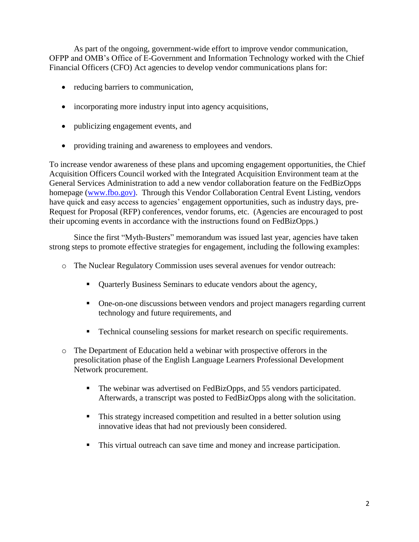As part of the ongoing, government-wide effort to improve vendor communication, OFPP and OMB's Office of E-Government and Information Technology worked with the Chief Financial Officers (CFO) Act agencies to develop vendor communications plans for:

- reducing barriers to communication,
- incorporating more industry input into agency acquisitions,
- publicizing engagement events, and
- providing training and awareness to employees and vendors.

To increase vendor awareness of these plans and upcoming engagement opportunities, the Chief Acquisition Officers Council worked with the Integrated Acquisition Environment team at the General Services Administration to add a new vendor collaboration feature on the FedBizOpps homepage [\(www.fbo.gov\)](http://www.fbo.gov/). Through this Vendor Collaboration Central Event Listing, vendors have quick and easy access to agencies' engagement opportunities, such as industry days, pre-Request for Proposal (RFP) conferences, vendor forums, etc. (Agencies are encouraged to post their upcoming events in accordance with the instructions found on FedBizOpps.)

Since the first "Myth-Busters" memorandum was issued last year, agencies have taken strong steps to promote effective strategies for engagement, including the following examples:

- o The Nuclear Regulatory Commission uses several avenues for vendor outreach:
	- Quarterly Business Seminars to educate vendors about the agency,
	- One-on-one discussions between vendors and project managers regarding current technology and future requirements, and
	- **•** Technical counseling sessions for market research on specific requirements.
- o The Department of Education held a webinar with prospective offerors in the presolicitation phase of the English Language Learners Professional Development Network procurement.
	- The webinar was advertised on FedBizOpps, and 55 vendors participated. Afterwards, a transcript was posted to FedBizOpps along with the solicitation.
	- This strategy increased competition and resulted in a better solution using innovative ideas that had not previously been considered.
	- This virtual outreach can save time and money and increase participation.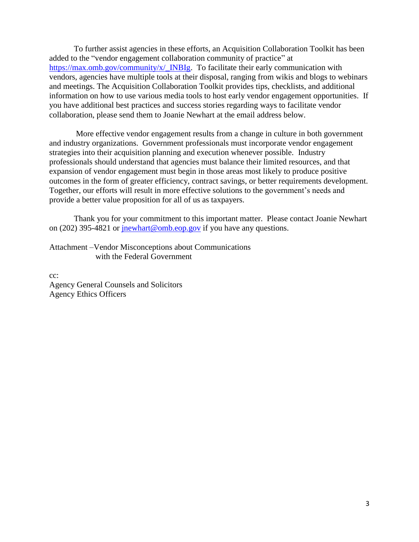To further assist agencies in these efforts, an Acquisition Collaboration Toolkit has been added to the "vendor engagement collaboration community of practice" at [https://max.omb.gov/community/x/\\_INBIg.](https://max.omb.gov/community/x/_INBIg) To facilitate their early communication with vendors, agencies have multiple tools at their disposal, ranging from wikis and blogs to webinars and meetings. The Acquisition Collaboration Toolkit provides tips, checklists, and additional information on how to use various media tools to host early vendor engagement opportunities. If you have additional best practices and success stories regarding ways to facilitate vendor collaboration, please send them to Joanie Newhart at the email address below.

More effective vendor engagement results from a change in culture in both government and industry organizations. Government professionals must incorporate vendor engagement strategies into their acquisition planning and execution whenever possible. Industry professionals should understand that agencies must balance their limited resources, and that expansion of vendor engagement must begin in those areas most likely to produce positive outcomes in the form of greater efficiency, contract savings, or better requirements development. Together, our efforts will result in more effective solutions to the government's needs and provide a better value proposition for all of us as taxpayers.

Thank you for your commitment to this important matter. Please contact Joanie Newhart on (202) 395-4821 or [jnewhart@omb.eop.gov](mailto:jnewhart@omb.eop.gov) if you have any questions.

Attachment –Vendor Misconceptions about Communications with the Federal Government

cc: Agency General Counsels and Solicitors Agency Ethics Officers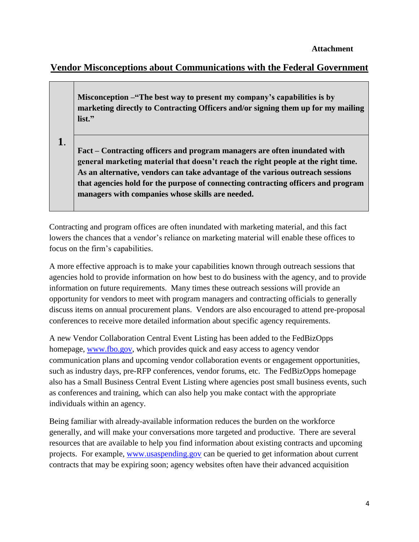# **Vendor Misconceptions about Communications with the Federal Government**

**Misconception –"The best way to present my company's capabilities is by marketing directly to Contracting Officers and/or signing them up for my mailing list."**

**1**.

**Fact – Contracting officers and program managers are often inundated with general marketing material that doesn't reach the right people at the right time. As an alternative, vendors can take advantage of the various outreach sessions that agencies hold for the purpose of connecting contracting officers and program managers with companies whose skills are needed.** 

Contracting and program offices are often inundated with marketing material, and this fact lowers the chances that a vendor's reliance on marketing material will enable these offices to focus on the firm's capabilities.

A more effective approach is to make your capabilities known through outreach sessions that agencies hold to provide information on how best to do business with the agency, and to provide information on future requirements. Many times these outreach sessions will provide an opportunity for vendors to meet with program managers and contracting officials to generally discuss items on annual procurement plans. Vendors are also encouraged to attend pre-proposal conferences to receive more detailed information about specific agency requirements.

A new Vendor Collaboration Central Event Listing has been added to the FedBizOpps homepage, [www.fbo.gov,](http://www.fbo.gov/) which provides quick and easy access to agency vendor communication plans and upcoming vendor collaboration events or engagement opportunities, such as industry days, pre-RFP conferences, vendor forums, etc. The FedBizOpps homepage also has a Small Business Central Event Listing where agencies post small business events, such as conferences and training, which can also help you make contact with the appropriate individuals within an agency.

Being familiar with already-available information reduces the burden on the workforce generally, and will make your conversations more targeted and productive. There are several resources that are available to help you find information about existing contracts and upcoming projects. For example, [www.usaspending.gov](http://www.usaspending.gov/) can be queried to get information about current contracts that may be expiring soon; agency websites often have their advanced acquisition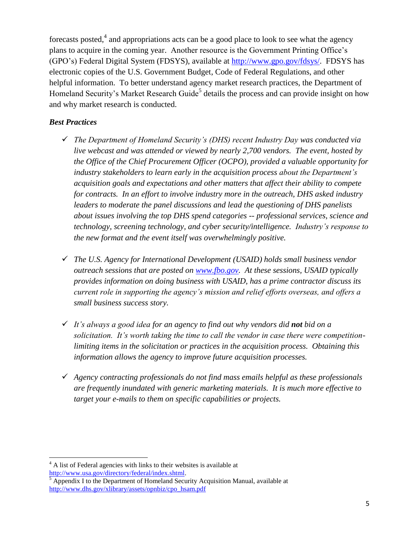forecasts posted,<sup>4</sup> and appropriations acts can be a good place to look to see what the agency plans to acquire in the coming year. Another resource is the Government Printing Office's (GPO's) Federal Digital System (FDSYS), available at [http://www.gpo.gov/fdsys/.](http://www.gpo.gov/fdsys/) FDSYS has electronic copies of the U.S. Government Budget, Code of Federal Regulations, and other helpful information. To better understand agency market research practices, the Department of Homeland Security's Market Research Guide<sup>5</sup> details the process and can provide insight on how and why market research is conducted.

#### *Best Practices*

 $\overline{\phantom{a}}$ 

- *The Department of Homeland Security's (DHS) recent Industry Day was conducted via live webcast and was attended or viewed by nearly 2,700 vendors. The event, hosted by the Office of the Chief Procurement Officer (OCPO), provided a valuable opportunity for industry stakeholders to learn early in the acquisition process about the Department's acquisition goals and expectations and other matters that affect their ability to compete for contracts. In an effort to involve industry more in the outreach, DHS asked industry leaders to moderate the panel discussions and lead the questioning of DHS panelists about issues involving the top DHS spend categories -- professional services, science and technology, screening technology, and cyber security/intelligence. Industry's response to the new format and the event itself was overwhelmingly positive.*
- *The U.S. Agency for International Development (USAID) holds small business vendor outreach sessions that are posted on [www.fbo.gov.](http://www.fbo.gov/) At these sessions, USAID typically provides information on doing business with USAID, has a prime contractor discuss its current role in supporting the agency's mission and relief efforts overseas, and offers a small business success story.*
- *It's always a good idea for an agency to find out why vendors did not bid on a solicitation. It's worth taking the time to call the vendor in case there were competitionlimiting items in the solicitation or practices in the acquisition process. Obtaining this information allows the agency to improve future acquisition processes.*
- *Agency contracting professionals do not find mass emails helpful as these professionals are frequently inundated with generic marketing materials. It is much more effective to target your e-mails to them on specific capabilities or projects.*

 $4$  A list of Federal agencies with links to their websites is available at [http://www.usa.gov/directory/federal/index.shtml.](http://www.usa.gov/directory/federal/index.shtml)

 $<sup>5</sup>$  Appendix I to the Department of Homeland Security Acquisition Manual, available at</sup> [http://www.dhs.gov/xlibrary/assets/opnbiz/cpo\\_hsam.pdf](http://www.dhs.gov/xlibrary/assets/opnbiz/cpo_hsam.pdf)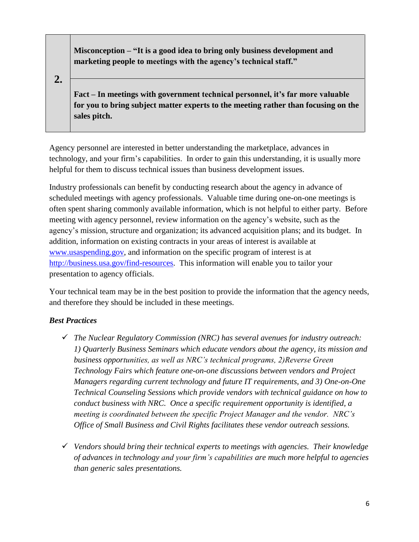**Misconception – "It is a good idea to bring only business development and marketing people to meetings with the agency's technical staff."**

**2.**

**Fact – In meetings with government technical personnel, it's far more valuable for you to bring subject matter experts to the meeting rather than focusing on the sales pitch.**

Agency personnel are interested in better understanding the marketplace, advances in technology, and your firm's capabilities. In order to gain this understanding, it is usually more helpful for them to discuss technical issues than business development issues.

Industry professionals can benefit by conducting research about the agency in advance of scheduled meetings with agency professionals. Valuable time during one-on-one meetings is often spent sharing commonly available information, which is not helpful to either party. Before meeting with agency personnel, review information on the agency's website, such as the agency's mission, structure and organization; its advanced acquisition plans; and its budget. In addition, information on existing contracts in your areas of interest is available at [www.usaspending.g](http://www.usaspending.gov/)ov, and information on the specific program of interest is at [http://business.usa.gov/find-resources.](http://business.usa.gov/find-resources) This information will enable you to tailor your presentation to agency officials.

Your technical team may be in the best position to provide the information that the agency needs, and therefore they should be included in these meetings.

- *The Nuclear Regulatory Commission (NRC) has several avenues for industry outreach: 1) Quarterly Business Seminars which educate vendors about the agency, its mission and business opportunities, as well as NRC's technical programs, 2)Reverse Green Technology Fairs which feature one-on-one discussions between vendors and Project Managers regarding current technology and future IT requirements, and 3) One-on-One Technical Counseling Sessions which provide vendors with technical guidance on how to conduct business with NRC. Once a specific requirement opportunity is identified, a meeting is coordinated between the specific Project Manager and the vendor. NRC's Office of Small Business and Civil Rights facilitates these vendor outreach sessions.*
- *Vendors should bring their technical experts to meetings with agencies. Their knowledge of advances in technology and your firm's capabilities are much more helpful to agencies than generic sales presentations.*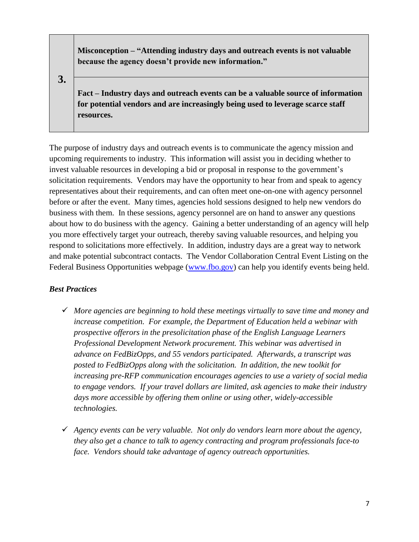**Misconception – "Attending industry days and outreach events is not valuable because the agency doesn't provide new information."**

**3.**

**Fact – Industry days and outreach events can be a valuable source of information for potential vendors and are increasingly being used to leverage scarce staff resources.** 

The purpose of industry days and outreach events is to communicate the agency mission and upcoming requirements to industry. This information will assist you in deciding whether to invest valuable resources in developing a bid or proposal in response to the government's solicitation requirements. Vendors may have the opportunity to hear from and speak to agency representatives about their requirements, and can often meet one-on-one with agency personnel before or after the event. Many times, agencies hold sessions designed to help new vendors do business with them. In these sessions, agency personnel are on hand to answer any questions about how to do business with the agency. Gaining a better understanding of an agency will help you more effectively target your outreach, thereby saving valuable resources, and helping you respond to solicitations more effectively. In addition, industry days are a great way to network and make potential subcontract contacts. The Vendor Collaboration Central Event Listing on the Federal Business Opportunities webpage [\(www.fbo.gov\)](http://www.fbo.gov/) can help you identify events being held.

- *More agencies are beginning to hold these meetings virtually to save time and money and increase competition. For example, the Department of Education held a webinar with prospective offerors in the presolicitation phase of the English Language Learners Professional Development Network procurement. This webinar was advertised in advance on FedBizOpps, and 55 vendors participated. Afterwards, a transcript was posted to FedBizOpps along with the solicitation. In addition, the new toolkit for increasing pre-RFP communication encourages agencies to use a variety of social media to engage vendors. If your travel dollars are limited, ask agencies to make their industry days more accessible by offering them online or using other, widely-accessible technologies.*
- *Agency events can be very valuable. Not only do vendors learn more about the agency, they also get a chance to talk to agency contracting and program professionals face-to face. Vendors should take advantage of agency outreach opportunities.*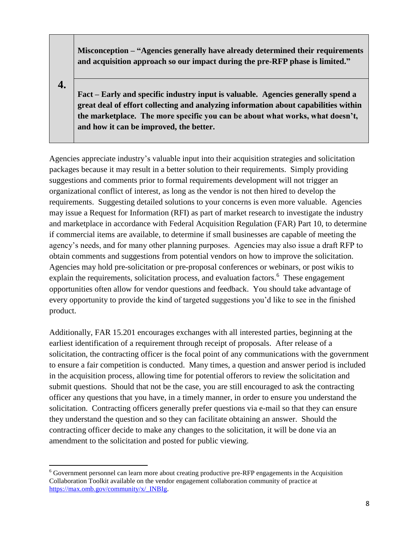**Misconception – "Agencies generally have already determined their requirements and acquisition approach so our impact during the pre-RFP phase is limited."**

**4.**

**Fact – Early and specific industry input is valuable. Agencies generally spend a great deal of effort collecting and analyzing information about capabilities within the marketplace. The more specific you can be about what works, what doesn't, and how it can be improved, the better.** 

Agencies appreciate industry's valuable input into their acquisition strategies and solicitation packages because it may result in a better solution to their requirements. Simply providing suggestions and comments prior to formal requirements development will not trigger an organizational conflict of interest, as long as the vendor is not then hired to develop the requirements. Suggesting detailed solutions to your concerns is even more valuable. Agencies may issue a Request for Information (RFI) as part of market research to investigate the industry and marketplace in accordance with Federal Acquisition Regulation (FAR) Part 10, to determine if commercial items are available, to determine if small businesses are capable of meeting the agency's needs, and for many other planning purposes. Agencies may also issue a draft RFP to obtain comments and suggestions from potential vendors on how to improve the solicitation. Agencies may hold pre-solicitation or pre-proposal conferences or webinars, or post wikis to explain the requirements, solicitation process, and evaluation factors.<sup>6</sup> These engagement opportunities often allow for vendor questions and feedback. You should take advantage of every opportunity to provide the kind of targeted suggestions you'd like to see in the finished product.

Additionally, FAR 15.201 encourages exchanges with all interested parties, beginning at the earliest identification of a requirement through receipt of proposals. After release of a solicitation, the contracting officer is the focal point of any communications with the government to ensure a fair competition is conducted. Many times, a question and answer period is included in the acquisition process, allowing time for potential offerors to review the solicitation and submit questions. Should that not be the case, you are still encouraged to ask the contracting officer any questions that you have, in a timely manner, in order to ensure you understand the solicitation. Contracting officers generally prefer questions via e-mail so that they can ensure they understand the question and so they can facilitate obtaining an answer. Should the contracting officer decide to make any changes to the solicitation, it will be done via an amendment to the solicitation and posted for public viewing.

 $\overline{\phantom{a}}$ <sup>6</sup> Government personnel can learn more about creating productive pre-RFP engagements in the Acquisition Collaboration Toolkit available on the vendor engagement collaboration community of practice at [https://max.omb.gov/community/x/\\_INBIg.](https://max.omb.gov/community/x/_INBIg)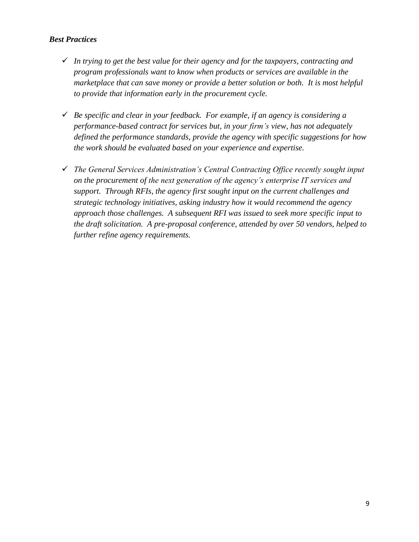- *In trying to get the best value for their agency and for the taxpayers, contracting and program professionals want to know when products or services are available in the marketplace that can save money or provide a better solution or both. It is most helpful to provide that information early in the procurement cycle.*
- *Be specific and clear in your feedback. For example, if an agency is considering a performance-based contract for services but, in your firm's view, has not adequately defined the performance standards, provide the agency with specific suggestions for how the work should be evaluated based on your experience and expertise.*
- *The General Services Administration's Central Contracting Office recently sought input on the procurement of the next generation of the agency's enterprise IT services and support. Through RFIs, the agency first sought input on the current challenges and strategic technology initiatives, asking industry how it would recommend the agency approach those challenges. A subsequent RFI was issued to seek more specific input to the draft solicitation. A pre-proposal conference, attended by over 50 vendors, helped to further refine agency requirements.*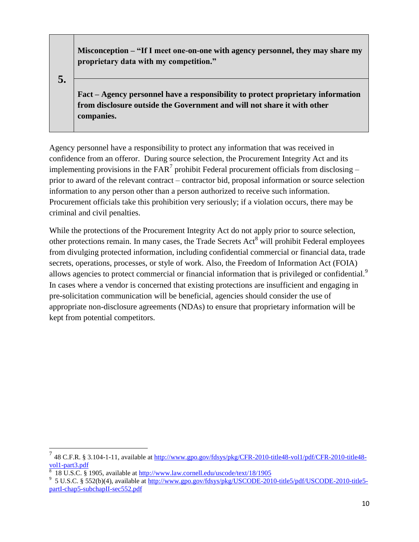**Misconception – "If I meet one-on-one with agency personnel, they may share my proprietary data with my competition."**

**5.**

**Fact – Agency personnel have a responsibility to protect proprietary information from disclosure outside the Government and will not share it with other companies.** 

Agency personnel have a responsibility to protect any information that was received in confidence from an offeror. During source selection, the Procurement Integrity Act and its implementing provisions in the FAR<sup>7</sup> prohibit Federal procurement officials from disclosing – prior to award of the relevant contract – contractor bid, proposal information or source selection information to any person other than a person authorized to receive such information. Procurement officials take this prohibition very seriously; if a violation occurs, there may be criminal and civil penalties.

While the protections of the Procurement Integrity Act do not apply prior to source selection, other protections remain. In many cases, the Trade Secrets Act<sup>8</sup> will prohibit Federal employees from divulging protected information, including confidential commercial or financial data, trade secrets, operations, processes, or style of work. Also, the Freedom of Information Act (FOIA) allows agencies to protect commercial or financial information that is privileged or confidential.<sup>9</sup> In cases where a vendor is concerned that existing protections are insufficient and engaging in pre-solicitation communication will be beneficial, agencies should consider the use of appropriate non-disclosure agreements (NDAs) to ensure that proprietary information will be kept from potential competitors.

<sup>&</sup>lt;sup>7</sup><br><sup>7</sup> 48 C.F.R. § 3.104-1-11, available at <u>http://www.gpo.gov/fdsys/pkg/CFR-2010-title48-vol1/pdf/CFR-2010-title48-</u> [vol1-part3.pdf](http://www.gpo.gov/fdsys/pkg/CFR-2010-title48-vol1/pdf/CFR-2010-title48-vol1-part3.pdf)

<sup>8</sup> 18 U.S.C. § 1905, available at<http://www.law.cornell.edu/uscode/text/18/1905>

<sup>&</sup>lt;sup>9</sup> 5 U.S.C. § 552(b)(4), available at [http://www.gpo.gov/fdsys/pkg/USCODE-2010-title5/pdf/USCODE-2010-title5](http://www.gpo.gov/fdsys/pkg/USCODE-2010-title5/pdf/USCODE-2010-title5-partI-chap5-subchapII-sec552.pdf) [partI-chap5-subchapII-sec552.pdf](http://www.gpo.gov/fdsys/pkg/USCODE-2010-title5/pdf/USCODE-2010-title5-partI-chap5-subchapII-sec552.pdf)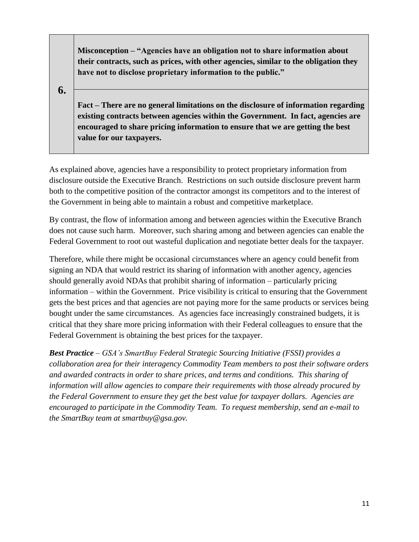**Misconception – "Agencies have an obligation not to share information about their contracts, such as prices, with other agencies, similar to the obligation they have not to disclose proprietary information to the public."**

**6.**

**Fact – There are no general limitations on the disclosure of information regarding existing contracts between agencies within the Government. In fact, agencies are encouraged to share pricing information to ensure that we are getting the best value for our taxpayers.**

As explained above, agencies have a responsibility to protect proprietary information from disclosure outside the Executive Branch. Restrictions on such outside disclosure prevent harm both to the competitive position of the contractor amongst its competitors and to the interest of the Government in being able to maintain a robust and competitive marketplace.

By contrast, the flow of information among and between agencies within the Executive Branch does not cause such harm. Moreover, such sharing among and between agencies can enable the Federal Government to root out wasteful duplication and negotiate better deals for the taxpayer.

Therefore, while there might be occasional circumstances where an agency could benefit from signing an NDA that would restrict its sharing of information with another agency, agencies should generally avoid NDAs that prohibit sharing of information – particularly pricing information – within the Government. Price visibility is critical to ensuring that the Government gets the best prices and that agencies are not paying more for the same products or services being bought under the same circumstances. As agencies face increasingly constrained budgets, it is critical that they share more pricing information with their Federal colleagues to ensure that the Federal Government is obtaining the best prices for the taxpayer.

*Best Practice* – *GSA's SmartBuy Federal Strategic Sourcing Initiative (FSSI) provides a collaboration area for their interagency Commodity Team members to post their software orders and awarded contracts in order to share prices, and terms and conditions. This sharing of information will allow agencies to compare their requirements with those already procured by the Federal Government to ensure they get the best value for taxpayer dollars. Agencies are encouraged to participate in the Commodity Team. To request membership, send an e-mail to the SmartBuy team at smartbuy@gsa.gov.*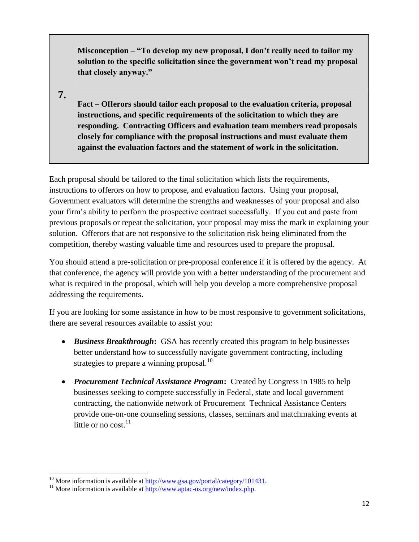**Misconception – "To develop my new proposal, I don't really need to tailor my solution to the specific solicitation since the government won't read my proposal that closely anyway."**

**7.**

**Fact – Offerors should tailor each proposal to the evaluation criteria, proposal instructions, and specific requirements of the solicitation to which they are responding. Contracting Officers and evaluation team members read proposals closely for compliance with the proposal instructions and must evaluate them against the evaluation factors and the statement of work in the solicitation.** 

Each proposal should be tailored to the final solicitation which lists the requirements, instructions to offerors on how to propose, and evaluation factors. Using your proposal, Government evaluators will determine the strengths and weaknesses of your proposal and also your firm's ability to perform the prospective contract successfully. If you cut and paste from previous proposals or repeat the solicitation, your proposal may miss the mark in explaining your solution. Offerors that are not responsive to the solicitation risk being eliminated from the competition, thereby wasting valuable time and resources used to prepare the proposal.

You should attend a pre-solicitation or pre-proposal conference if it is offered by the agency. At that conference, the agency will provide you with a better understanding of the procurement and what is required in the proposal, which will help you develop a more comprehensive proposal addressing the requirements.

If you are looking for some assistance in how to be most responsive to government solicitations, there are several resources available to assist you:

- *Business Breakthrough***:** GSA has recently created this program to help businesses better understand how to successfully navigate government contracting, including strategies to prepare a winning proposal. $^{10}$
- *Procurement Technical Assistance Program***:** Created by Congress in 1985 to help businesses seeking to compete successfully in Federal, state and local government contracting, the nationwide network of Procurement Technical Assistance Centers provide one-on-one counseling sessions, classes, seminars and matchmaking events at little or no cost.<sup>11</sup>

 $\overline{\phantom{a}}$ <sup>10</sup> More information is available at  $\frac{http://www.gsa.gov/portal/category/101431.$ 

<sup>&</sup>lt;sup>11</sup> More information is available at  $\frac{http://www.aptac-us.org/news/index.php}{http://www.aptac-us.org/news/index.php}$ .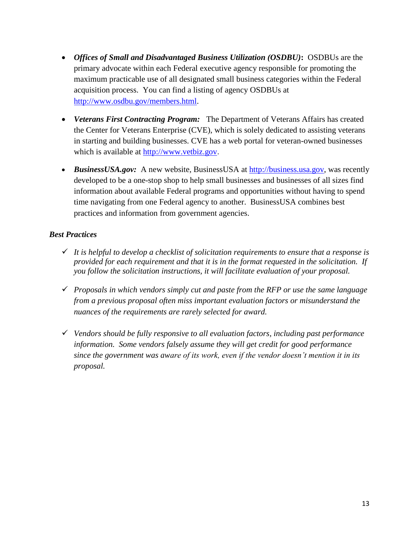- *Offices of Small and Disadvantaged Business Utilization (OSDBU)***:** OSDBUs are the primary advocate within each Federal executive agency responsible for promoting the maximum practicable use of all designated small business categories within the Federal acquisition process. You can find a listing of agency OSDBUs at [http://www.osdbu.gov/members.html.](http://www.osdbu.gov/members.html)
- *Veterans First Contracting Program:* The Department of Veterans Affairs has created the Center for Veterans Enterprise (CVE), which is solely dedicated to assisting veterans in starting and building businesses. CVE has a web portal for veteran-owned businesses which is available at [http://www.vetbiz.gov](http://www.vetbiz.gov/).
- *BusinessUSA.gov:* A new website, BusinessUSA at [http://business.usa.gov,](http://business.usa.gov/) was recently developed to be a one-stop shop to help small businesses and businesses of all sizes find information about available Federal programs and opportunities without having to spend time navigating from one Federal agency to another. BusinessUSA combines best practices and information from government agencies.

- $\checkmark$  It is helpful to develop a checklist of solicitation requirements to ensure that a response is *provided for each requirement and that it is in the format requested in the solicitation. If you follow the solicitation instructions, it will facilitate evaluation of your proposal.*
- *Proposals in which vendors simply cut and paste from the RFP or use the same language from a previous proposal often miss important evaluation factors or misunderstand the nuances of the requirements are rarely selected for award.*
- *Vendors should be fully responsive to all evaluation factors, including past performance information. Some vendors falsely assume they will get credit for good performance since the government was aware of its work, even if the vendor doesn't mention it in its proposal.*